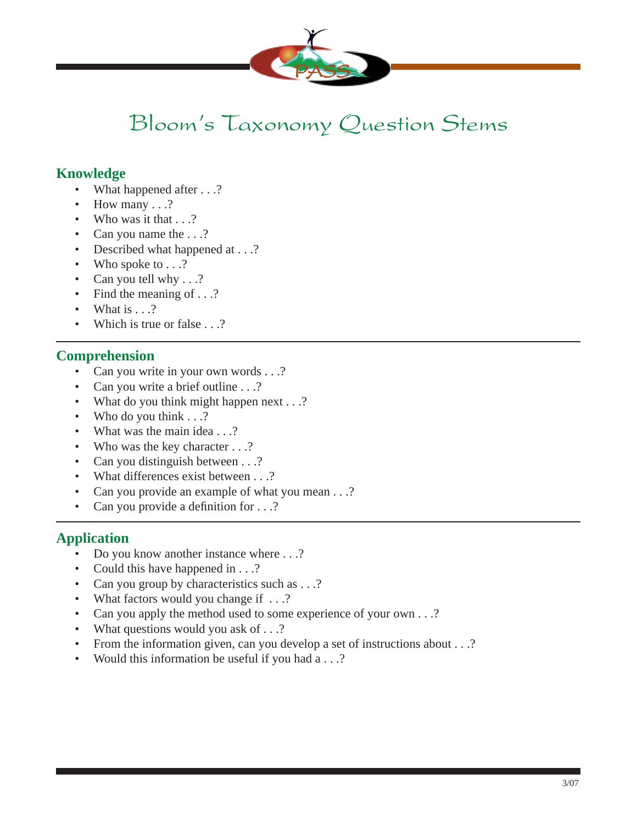

## Bloom's Taxonomy Question Stems

### **Knowledge**

- What happened after . . .?
- How many  $\ldots$ ?
- Who was it that  $\ldots$ ?
- Can you name the ...?
- Described what happened at . . .?
- Who spoke to . . .?
- Can you tell why . . .?
- Find the meaning of . . .?
- What is . . .?
- Which is true or false . . .?

### **Comprehension**

- Can you write in your own words . . .?
- Can you write a brief outline . . .?
- What do you think might happen next . . .?
- Who do you think . . .?
- What was the main idea . . .?
- Who was the key character . . .?
- Can you distinguish between . . .?
- What differences exist between . . .?
- Can you provide an example of what you mean . . .?
- Can you provide a definition for  $\dots$ ?

### **Application**

- Do you know another instance where . . .?
- Could this have happened in . . .?
- Can you group by characteristics such as . . .?
- What factors would you change if ...?
- Can you apply the method used to some experience of your own . . .?
- What questions would you ask of . . .?
- From the information given, can you develop a set of instructions about . . .?
- Would this information be useful if you had a . . .?